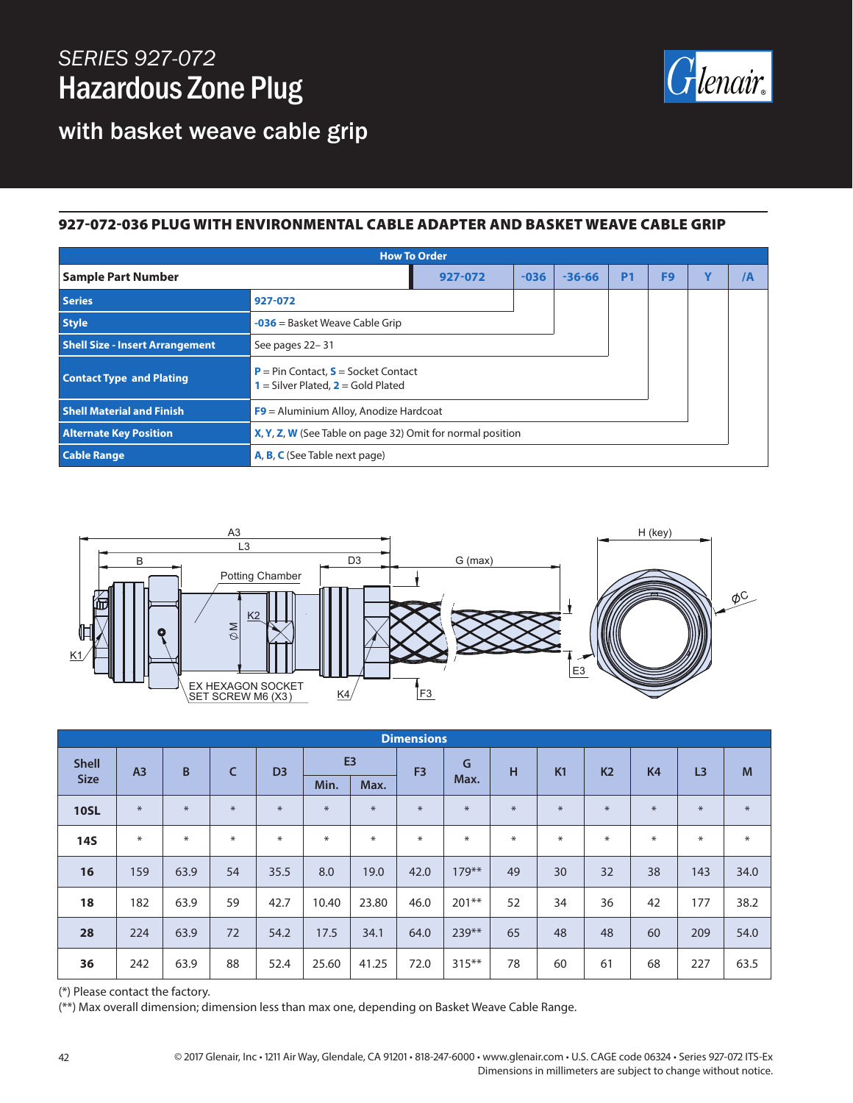## *SERIES 927-072* Hazardous Zone Plug



with basket weave cable grip

#### 927-072-036 PLUG WITH ENVIRONMENTAL CABLE ADAPTER AND BASKET WEAVE CABLE GRIP

| <b>How To Order</b>                    |                                                                                        |        |            |           |                |   |                |  |  |  |
|----------------------------------------|----------------------------------------------------------------------------------------|--------|------------|-----------|----------------|---|----------------|--|--|--|
| <b>Sample Part Number</b>              | 927-072                                                                                | $-036$ | $-36 - 66$ | <b>P1</b> | F <sub>9</sub> | Y | $\overline{A}$ |  |  |  |
| <b>Series</b>                          | 927-072                                                                                |        |            |           |                |   |                |  |  |  |
| <b>Style</b>                           | $-036$ = Basket Weave Cable Grip                                                       |        |            |           |                |   |                |  |  |  |
| <b>Shell Size - Insert Arrangement</b> | See pages 22-31                                                                        |        |            |           |                |   |                |  |  |  |
| <b>Contact Type and Plating</b>        | <b>P</b> = Pin Contact, $S$ = Socket Contact<br>$1 =$ Silver Plated, $2 =$ Gold Plated |        |            |           |                |   |                |  |  |  |
| <b>Shell Material and Finish</b>       | $F9$ = Aluminium Alloy, Anodize Hardcoat                                               |        |            |           |                |   |                |  |  |  |
| <b>Alternate Key Position</b>          | X, Y, Z, W (See Table on page 32) Omit for normal position                             |        |            |           |                |   |                |  |  |  |
| <b>Cable Range</b>                     | A, B, C (See Table next page)                                                          |        |            |           |                |   |                |  |  |  |



| <b>Dimensions</b> |                |        |              |                |                |        |                |          |        |     |                |                |                |        |
|-------------------|----------------|--------|--------------|----------------|----------------|--------|----------------|----------|--------|-----|----------------|----------------|----------------|--------|
| <b>Shell</b>      | A <sub>3</sub> | B      | $\mathsf{C}$ | D <sub>3</sub> | E <sub>3</sub> |        | F <sub>3</sub> | G        | н      | K1  | K <sub>2</sub> | K <sub>4</sub> | L <sub>3</sub> | M      |
| <b>Size</b>       |                |        |              |                | Min.           | Max.   |                | Max.     |        |     |                |                |                |        |
| <b>10SL</b>       | $*$            | $*$    | $\ast$       | $\ast$         | $\ast$         | $\ast$ | $\ast$         | $*$      | $*$    | $*$ | $*$            | $*$            | $\ast$         | $\ast$ |
| <b>14S</b>        | $\ast$         | $\ast$ | $\ast$       | $\ast$         | $\ast$         | $\ast$ | $\ast$         | $*$      | $\ast$ | $*$ | ∗              | $*$            | $\ast$         | $\ast$ |
| 16                | 159            | 63.9   | 54           | 35.5           | 8.0            | 19.0   | 42.0           | $179***$ | 49     | 30  | 32             | 38             | 143            | 34.0   |
| 18                | 182            | 63.9   | 59           | 42.7           | 10.40          | 23.80  | 46.0           | $201**$  | 52     | 34  | 36             | 42             | 177            | 38.2   |
| 28                | 224            | 63.9   | 72           | 54.2           | 17.5           | 34.1   | 64.0           | 239**    | 65     | 48  | 48             | 60             | 209            | 54.0   |
| 36                | 242            | 63.9   | 88           | 52.4           | 25.60          | 41.25  | 72.0           | $315***$ | 78     | 60  | 61             | 68             | 227            | 63.5   |

(\*) Please contact the factory.

(\*\*) Max overall dimension; dimension less than max one, depending on Basket Weave Cable Range.